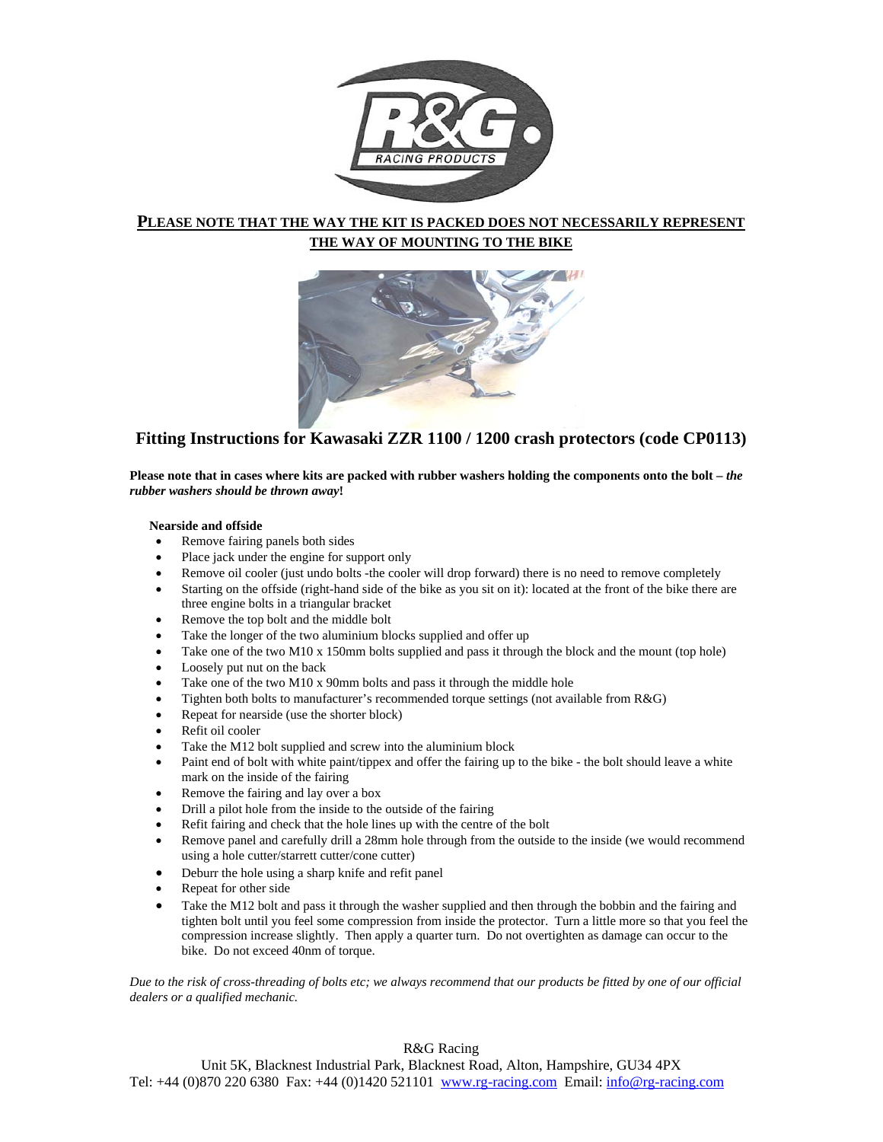

## **PLEASE NOTE THAT THE WAY THE KIT IS PACKED DOES NOT NECESSARILY REPRESENT THE WAY OF MOUNTING TO THE BIKE**



# **Fitting Instructions for Kawasaki ZZR 1100 / 1200 crash protectors (code CP0113)**

Please note that in cases where kits are packed with rubber washers holding the components onto the bolt – *the rubber washers should be thrown away***!**

### **Nearside and offside**

- Remove fairing panels both sides
- Place jack under the engine for support only
- Remove oil cooler (just undo bolts -the cooler will drop forward) there is no need to remove completely
- Starting on the offside (right-hand side of the bike as you sit on it): located at the front of the bike there are three engine bolts in a triangular bracket
- Remove the top bolt and the middle bolt
- Take the longer of the two aluminium blocks supplied and offer up
- Take one of the two M10 x 150mm bolts supplied and pass it through the block and the mount (top hole)
- Loosely put nut on the back
- Take one of the two M10 x 90mm bolts and pass it through the middle hole
- Tighten both bolts to manufacturer's recommended torque settings (not available from R&G)
- Repeat for nearside (use the shorter block)
- Refit oil cooler
- Take the M12 bolt supplied and screw into the aluminium block
- Paint end of bolt with white paint/tippex and offer the fairing up to the bike the bolt should leave a white mark on the inside of the fairing
- Remove the fairing and lay over a box
- Drill a pilot hole from the inside to the outside of the fairing
- Refit fairing and check that the hole lines up with the centre of the bolt
- Remove panel and carefully drill a 28mm hole through from the outside to the inside (we would recommend using a hole cutter/starrett cutter/cone cutter)
- Deburr the hole using a sharp knife and refit panel
- Repeat for other side
- Take the M12 bolt and pass it through the washer supplied and then through the bobbin and the fairing and tighten bolt until you feel some compression from inside the protector. Turn a little more so that you feel the compression increase slightly. Then apply a quarter turn. Do not overtighten as damage can occur to the bike. Do not exceed 40nm of torque.

*Due to the risk of cross-threading of bolts etc; we always recommend that our products be fitted by one of our official dealers or a qualified mechanic.* 

### R&G Racing

Unit 5K, Blacknest Industrial Park, Blacknest Road, Alton, Hampshire, GU34 4PX Tel: +44 (0) 870 220 6380 Fax: +44 (0) 1420 521101 www.rg-racing.com Email: info@rg-racing.com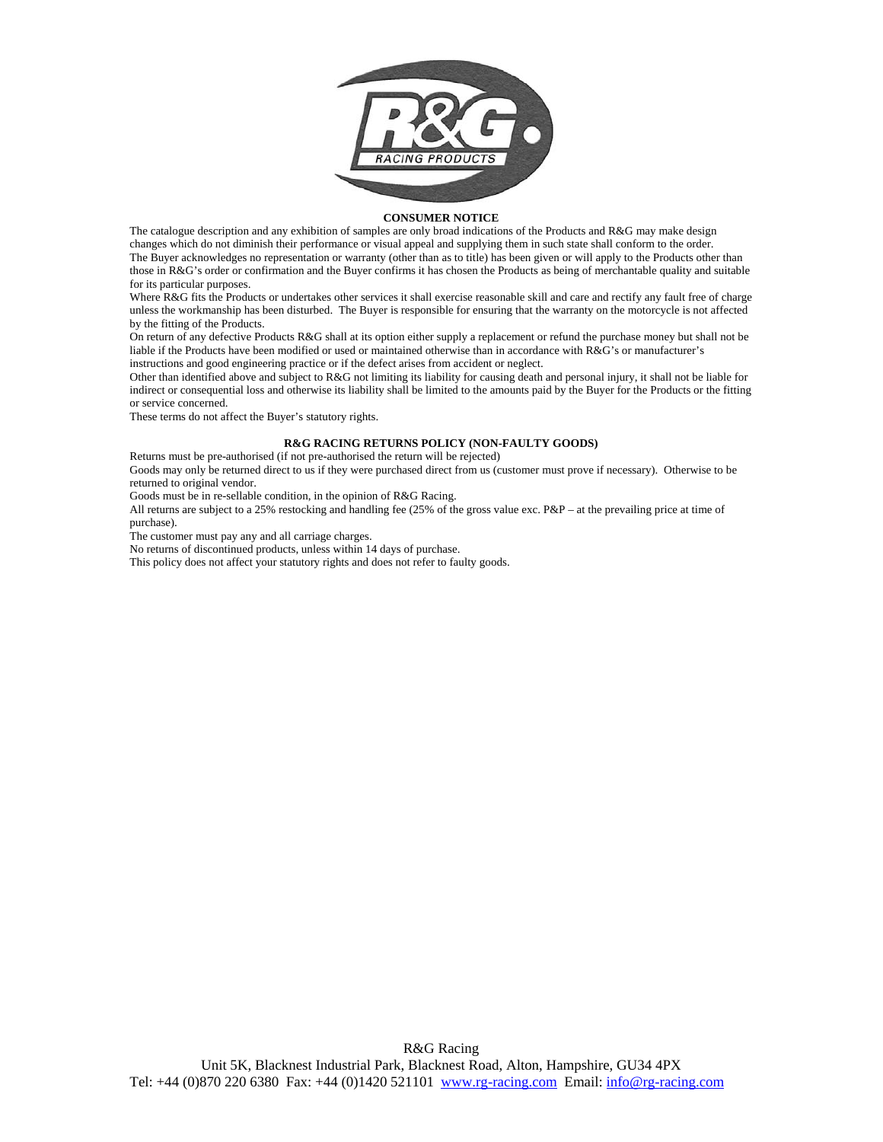

#### **CONSUMER NOTICE**

The catalogue description and any exhibition of samples are only broad indications of the Products and R&G may make design changes which do not diminish their performance or visual appeal and supplying them in such state shall conform to the order. The Buyer acknowledges no representation or warranty (other than as to title) has been given or will apply to the Products other than those in R&G's order or confirmation and the Buyer confirms it has chosen the Products as being of merchantable quality and suitable for its particular purposes.

Where R&G fits the Products or undertakes other services it shall exercise reasonable skill and care and rectify any fault free of charge unless the workmanship has been disturbed. The Buyer is responsible for ensuring that the warranty on the motorcycle is not affected by the fitting of the Products.

On return of any defective Products R&G shall at its option either supply a replacement or refund the purchase money but shall not be liable if the Products have been modified or used or maintained otherwise than in accordance with R&G's or manufacturer's instructions and good engineering practice or if the defect arises from accident or neglect.

Other than identified above and subject to R&G not limiting its liability for causing death and personal injury, it shall not be liable for indirect or consequential loss and otherwise its liability shall be limited to the amounts paid by the Buyer for the Products or the fitting or service concerned.

These terms do not affect the Buyer's statutory rights.

#### **R&G RACING RETURNS POLICY (NON-FAULTY GOODS)**

Returns must be pre-authorised (if not pre-authorised the return will be rejected)

Goods may only be returned direct to us if they were purchased direct from us (customer must prove if necessary). Otherwise to be returned to original vendor.

Goods must be in re-sellable condition, in the opinion of R&G Racing.

All returns are subject to a 25% restocking and handling fee (25% of the gross value exc. P&P – at the prevailing price at time of purchase).

The customer must pay any and all carriage charges.

No returns of discontinued products, unless within 14 days of purchase.

This policy does not affect your statutory rights and does not refer to faulty goods.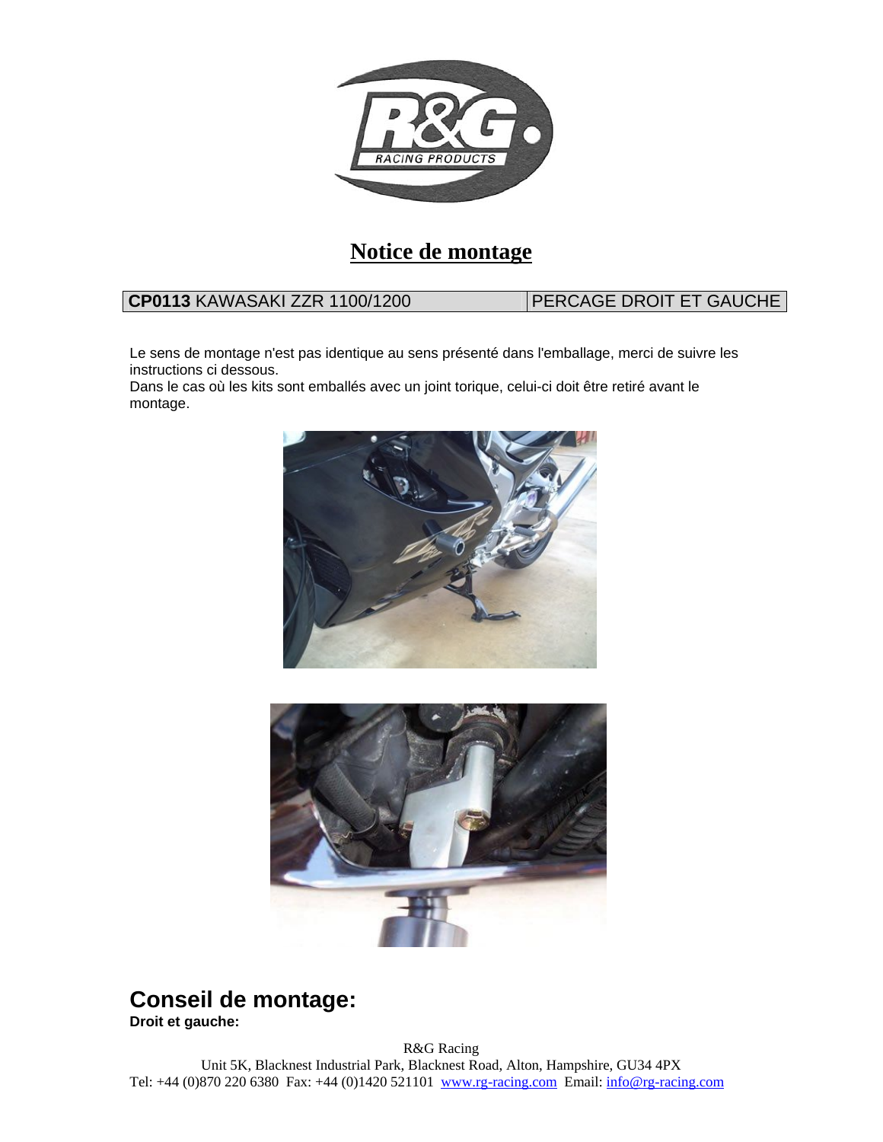

# **Notice de montage**

# **CP0113 KAWASAKI ZZR 1100/1200 PERCAGE DROIT ET GAUCHE**

Le sens de montage n'est pas identique au sens présenté dans l'emballage, merci de suivre les instructions ci dessous.

Dans le cas où les kits sont emballés avec un joint torique, celui-ci doit être retiré avant le montage.





# **Conseil de montage:**

**Droit et gauche:**

R&G Racing Unit 5K, Blacknest Industrial Park, Blacknest Road, Alton, Hampshire, GU34 4PX Tel: +44 (0) 870 220 6380 Fax: +44 (0) 1420 521101 www.rg-racing.com Email: info@rg-racing.com